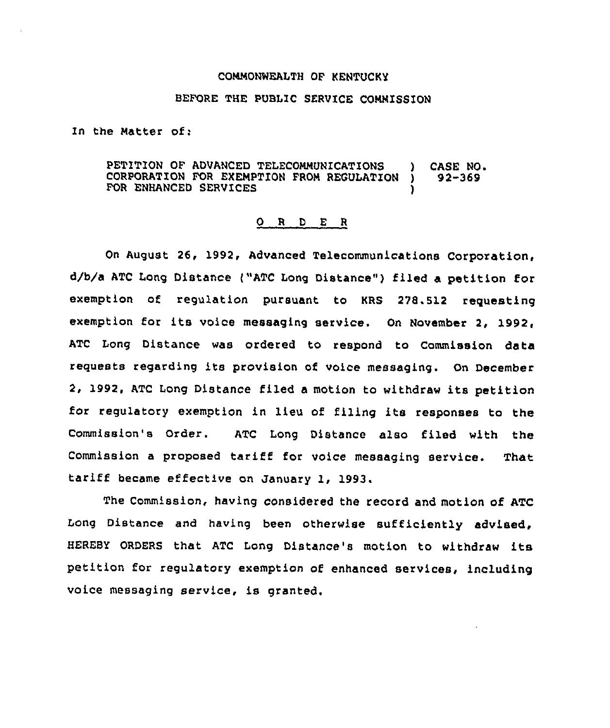## COMNONWEALTH OF KENTUCKY

## BEFORE THE PUBLIC SERVICE COMMISSION

In the Natter of:

PETITION OF ADVANCED TELECOMMUNICATIONS ) CASE NO.<br>CORPORATION FOR EXEMPTION FROM REGULATION ) 92-369 CORPORATION FOR EXEMPTION FROM REGULATION FOR ENHANCED SERVICES

## 0 R <sup>D</sup> E <sup>R</sup>

On August 26, 1992, Advanced Telecommunications Corporation, d/b/a ATC Long Distance ("ATC Long Distance" ) filed a petition for exemption of regulation pursuant to KRS 278.512 requesting exemption for its voice messaging service. On November 2, 1992, ATC Long Distance was ordered to respond to Commission data requests regarding its provision of voice messaging. On December 2, 1992, ATC Long Distance filed <sup>a</sup> motion to withdraw its petition for regulatory exemption in lieu of filing its responses to the Commission's Order. ATC Long Distance also filed with the Commission <sup>a</sup> proposed tariff for voice messaging service. That tariff became effective on January 1, 1993.

The Commission, having considered the record and motion of ATC Long Distance and having been otherwise sufficiently advised, HEREBY ORDERS that ATC Long Distance's motion to withdraw its petition for regulatory exemption of enhanced services, including voice messaging service, is granted.